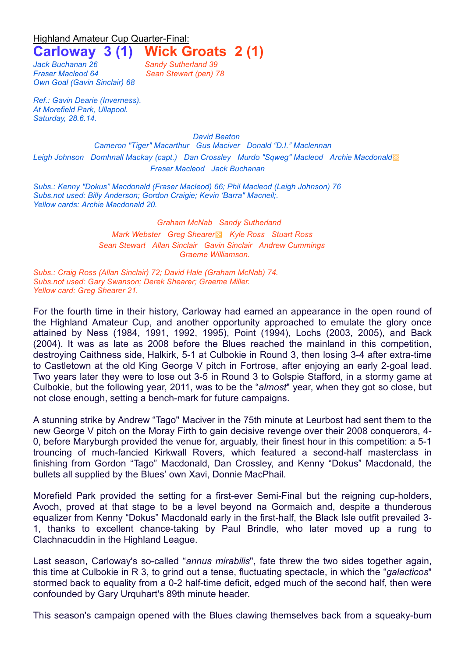## Highland Amateur Cup Quarter-Final:

## **Carloway 3 (1) Wick Groats 2 (1)**

*Jack Buchanan 26 Sandy Sutherland 39 Fraser Macleod 64 Sean Stewart (pen) 78 Own Goal (Gavin Sinclair) 68*

*Ref.: Gavin Dearie (Inverness). At Morefield Park, Ullapool. Saturday, 28.6.14.*

*David Beaton Cameron "Tiger" Macarthur Gus Maciver Donald "D.I." Maclennan Leigh Johnson Domhnall Mackay (capt.) Dan Crossley Murdo "Sqweg" Macleod Archie Macdonald*▩ *Fraser Macleod Jack Buchanan*

*Subs.: Kenny "Dokus" Macdonald (Fraser Macleod) 66; Phil Macleod (Leigh Johnson) 76 Subs.not used: Billy Anderson; Gordon Craigie; Kevin 'Barra" Macneil;. Yellow cards: Archie Macdonald 20.*

> *Graham McNab Sandy Sutherland Mark Webster Greg Shearer*▩ *Kyle Ross Stuart Ross Sean Stewart Allan Sinclair Gavin Sinclair Andrew Cummings Graeme Williamson.*

*Subs.: Craig Ross (Allan Sinclair) 72; David Hale (Graham McNab) 74. Subs.not used: Gary Swanson; Derek Shearer; Graeme Miller. Yellow card: Greg Shearer 21.*

For the fourth time in their history, Carloway had earned an appearance in the open round of the Highland Amateur Cup, and another opportunity approached to emulate the glory once attained by Ness (1984, 1991, 1992, 1995), Point (1994), Lochs (2003, 2005), and Back (2004). It was as late as 2008 before the Blues reached the mainland in this competition, destroying Caithness side, Halkirk, 5-1 at Culbokie in Round 3, then losing 3-4 after extra-time to Castletown at the old King George V pitch in Fortrose, after enjoying an early 2-goal lead. Two years later they were to lose out 3-5 in Round 3 to Golspie Stafford, in a stormy game at Culbokie, but the following year, 2011, was to be the "*almost*" year, when they got so close, but not close enough, setting a bench-mark for future campaigns.

A stunning strike by Andrew "Tago" Maciver in the 75th minute at Leurbost had sent them to the new George V pitch on the Moray Firth to gain decisive revenge over their 2008 conquerors, 4- 0, before Maryburgh provided the venue for, arguably, their finest hour in this competition: a 5-1 trouncing of much-fancied Kirkwall Rovers, which featured a second-half masterclass in finishing from Gordon "Tago" Macdonald, Dan Crossley, and Kenny "Dokus" Macdonald, the bullets all supplied by the Blues' own Xavi, Donnie MacPhail.

Morefield Park provided the setting for a first-ever Semi-Final but the reigning cup-holders, Avoch, proved at that stage to be a level beyond na Gormaich and, despite a thunderous equalizer from Kenny "Dokus" Macdonald early in the first-half, the Black Isle outfit prevailed 3- 1, thanks to excellent chance-taking by Paul Brindle, who later moved up a rung to Clachnacuddin in the Highland League.

Last season, Carloway's so-called "*annus mirabilis*", fate threw the two sides together again, this time at Culbokie in R 3, to grind out a tense, fluctuating spectacle, in which the "*galacticos*" stormed back to equality from a 0-2 half-time deficit, edged much of the second half, then were confounded by Gary Urquhart's 89th minute header.

This season's campaign opened with the Blues clawing themselves back from a squeaky-bum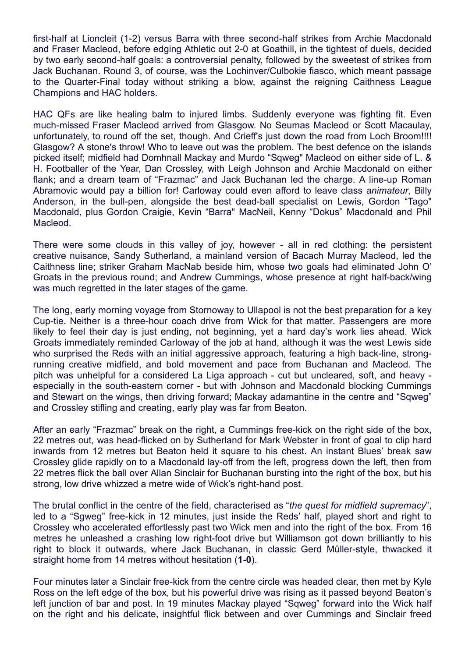first-half at Lioncleit (1-2) versus Barra with three second-half strikes from Archie Macdonald and Fraser Macleod, before edging Athletic out 2-0 at Goathill, in the tightest of duels, decided by two early second-half goals: a controversial penalty, followed by the sweetest of strikes from Jack Buchanan. Round 3, of course, was the Lochinver/Culbokie fiasco, which meant passage to the Quarter-Final today without striking a blow, against the reigning Caithness League Champions and HAC holders.

HAC QFs are like healing balm to injured limbs. Suddenly everyone was fighting fit. Even much-missed Fraser Macleod arrived from Glasgow. No Seumas Macleod or Scott Macaulay, unfortunately, to round off the set, though. And Crieff's just down the road from Loch Broom!!!! Glasgow? A stone's throw! Who to leave out was the problem. The best defence on the islands picked itself; midfield had Domhnall Mackay and Murdo "Sqweg" Macleod on either side of L. & H. Footballer of the Year, Dan Crossley, with Leigh Johnson and Archie Macdonald on either flank; and a dream team of "Frazmac" and Jack Buchanan led the charge. A line-up Roman Abramovic would pay a billion for! Carloway could even afford to leave class *animateur*, Billy Anderson, in the bull-pen, alongside the best dead-ball specialist on Lewis, Gordon "Tago" Macdonald, plus Gordon Craigie, Kevin "Barra" MacNeil, Kenny "Dokus" Macdonald and Phil Macleod.

There were some clouds in this valley of joy, however - all in red clothing: the persistent creative nuisance, Sandy Sutherland, a mainland version of Bacach Murray Macleod, led the Caithness line; striker Graham MacNab beside him, whose two goals had eliminated John O' Groats in the previous round; and Andrew Cummings, whose presence at right half-back/wing was much regretted in the later stages of the game.

The long, early morning voyage from Stornoway to Ullapool is not the best preparation for a key Cup-tie. Neither is a three-hour coach drive from Wick for that matter. Passengers are more likely to feel their day is just ending, not beginning, yet a hard day's work lies ahead. Wick Groats immediately reminded Carloway of the job at hand, although it was the west Lewis side who surprised the Reds with an initial aggressive approach, featuring a high back-line, strongrunning creative midfield, and bold movement and pace from Buchanan and Macleod. The pitch was unhelpful for a considered La Liga approach - cut but uncleared, soft, and heavy especially in the south-eastern corner - but with Johnson and Macdonald blocking Cummings and Stewart on the wings, then driving forward; Mackay adamantine in the centre and "Sqweg" and Crossley stifling and creating, early play was far from Beaton.

After an early "Frazmac" break on the right, a Cummings free-kick on the right side of the box, 22 metres out, was head-flicked on by Sutherland for Mark Webster in front of goal to clip hard inwards from 12 metres but Beaton held it square to his chest. An instant Blues' break saw Crossley glide rapidly on to a Macdonald lay-off from the left, progress down the left, then from 22 metres flick the ball over Allan Sinclair for Buchanan bursting into the right of the box, but his strong, low drive whizzed a metre wide of Wick's right-hand post.

The brutal conflict in the centre of the field, characterised as "*the quest for midfield supremacy*", led to a "Sgweg" free-kick in 12 minutes, just inside the Reds' half, played short and right to Crossley who accelerated effortlessly past two Wick men and into the right of the box. From 16 metres he unleashed a crashing low right-foot drive but Williamson got down brilliantly to his right to block it outwards, where Jack Buchanan, in classic Gerd Müller-style, thwacked it straight home from 14 metres without hesitation (**1-0**).

Four minutes later a Sinclair free-kick from the centre circle was headed clear, then met by Kyle Ross on the left edge of the box, but his powerful drive was rising as it passed beyond Beaton's left junction of bar and post. In 19 minutes Mackay played "Sqweg" forward into the Wick half on the right and his delicate, insightful flick between and over Cummings and Sinclair freed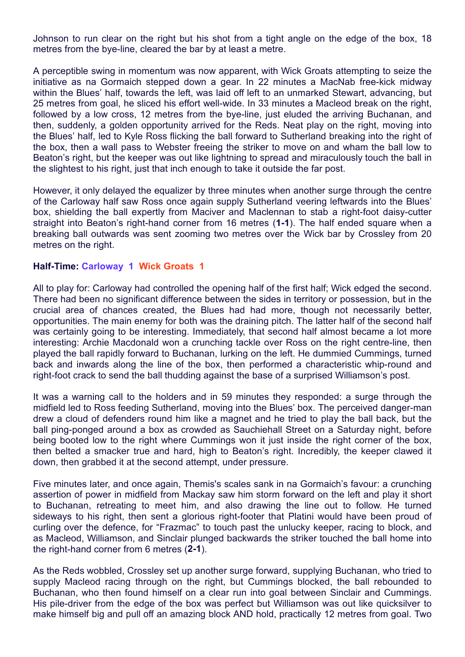Johnson to run clear on the right but his shot from a tight angle on the edge of the box, 18 metres from the bye-line, cleared the bar by at least a metre.

A perceptible swing in momentum was now apparent, with Wick Groats attempting to seize the initiative as na Gormaich stepped down a gear. In 22 minutes a MacNab free-kick midway within the Blues' half, towards the left, was laid off left to an unmarked Stewart, advancing, but 25 metres from goal, he sliced his effort well-wide. In 33 minutes a Macleod break on the right, followed by a low cross, 12 metres from the bye-line, just eluded the arriving Buchanan, and then, suddenly, a golden opportunity arrived for the Reds. Neat play on the right, moving into the Blues' half, led to Kyle Ross flicking the ball forward to Sutherland breaking into the right of the box, then a wall pass to Webster freeing the striker to move on and wham the ball low to Beaton's right, but the keeper was out like lightning to spread and miraculously touch the ball in the slightest to his right, just that inch enough to take it outside the far post.

However, it only delayed the equalizer by three minutes when another surge through the centre of the Carloway half saw Ross once again supply Sutherland veering leftwards into the Blues' box, shielding the ball expertly from Maciver and Maclennan to stab a right-foot daisy-cutter straight into Beaton's right-hand corner from 16 metres (**1-1**). The half ended square when a breaking ball outwards was sent zooming two metres over the Wick bar by Crossley from 20 metres on the right.

## **Half-Time: Carloway 1 Wick Groats 1**

All to play for: Carloway had controlled the opening half of the first half; Wick edged the second. There had been no significant difference between the sides in territory or possession, but in the crucial area of chances created, the Blues had had more, though not necessarily better, opportunities. The main enemy for both was the draining pitch. The latter half of the second half was certainly going to be interesting. Immediately, that second half almost became a lot more interesting: Archie Macdonald won a crunching tackle over Ross on the right centre-line, then played the ball rapidly forward to Buchanan, lurking on the left. He dummied Cummings, turned back and inwards along the line of the box, then performed a characteristic whip-round and right-foot crack to send the ball thudding against the base of a surprised Williamson's post.

It was a warning call to the holders and in 59 minutes they responded: a surge through the midfield led to Ross feeding Sutherland, moving into the Blues' box. The perceived danger-man drew a cloud of defenders round him like a magnet and he tried to play the ball back, but the ball ping-ponged around a box as crowded as Sauchiehall Street on a Saturday night, before being booted low to the right where Cummings won it just inside the right corner of the box, then belted a smacker true and hard, high to Beaton's right. Incredibly, the keeper clawed it down, then grabbed it at the second attempt, under pressure.

Five minutes later, and once again, Themis's scales sank in na Gormaich's favour: a crunching assertion of power in midfield from Mackay saw him storm forward on the left and play it short to Buchanan, retreating to meet him, and also drawing the line out to follow. He turned sideways to his right, then sent a glorious right-footer that Platini would have been proud of curling over the defence, for "Frazmac" to touch past the unlucky keeper, racing to block, and as Macleod, Williamson, and Sinclair plunged backwards the striker touched the ball home into the right-hand corner from 6 metres (**2-1**).

As the Reds wobbled, Crossley set up another surge forward, supplying Buchanan, who tried to supply Macleod racing through on the right, but Cummings blocked, the ball rebounded to Buchanan, who then found himself on a clear run into goal between Sinclair and Cummings. His pile-driver from the edge of the box was perfect but Williamson was out like quicksilver to make himself big and pull off an amazing block AND hold, practically 12 metres from goal. Two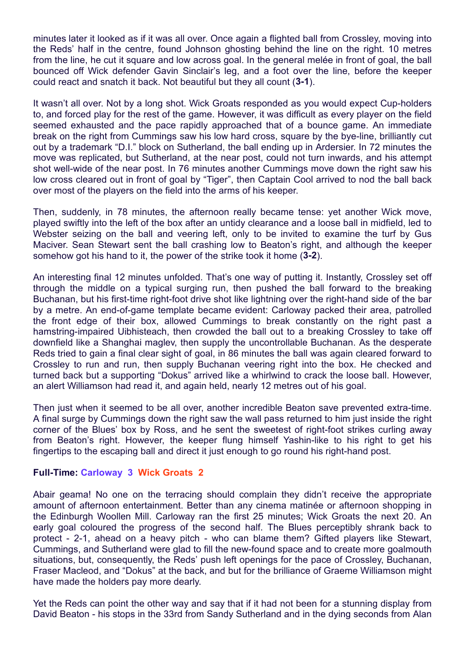minutes later it looked as if it was all over. Once again a flighted ball from Crossley, moving into the Reds' half in the centre, found Johnson ghosting behind the line on the right. 10 metres from the line, he cut it square and low across goal. In the general melée in front of goal, the ball bounced off Wick defender Gavin Sinclair's leg, and a foot over the line, before the keeper could react and snatch it back. Not beautiful but they all count (**3-1**).

It wasn't all over. Not by a long shot. Wick Groats responded as you would expect Cup-holders to, and forced play for the rest of the game. However, it was difficult as every player on the field seemed exhausted and the pace rapidly approached that of a bounce game. An immediate break on the right from Cummings saw his low hard cross, square by the bye-line, brilliantly cut out by a trademark "D.I." block on Sutherland, the ball ending up in Ardersier. In 72 minutes the move was replicated, but Sutherland, at the near post, could not turn inwards, and his attempt shot well-wide of the near post. In 76 minutes another Cummings move down the right saw his low cross cleared out in front of goal by "Tiger", then Captain Cool arrived to nod the ball back over most of the players on the field into the arms of his keeper.

Then, suddenly, in 78 minutes, the afternoon really became tense: yet another Wick move, played swiftly into the left of the box after an untidy clearance and a loose ball in midfield, led to Webster seizing on the ball and veering left, only to be invited to examine the turf by Gus Maciver. Sean Stewart sent the ball crashing low to Beaton's right, and although the keeper somehow got his hand to it, the power of the strike took it home (**3-2**).

An interesting final 12 minutes unfolded. That's one way of putting it. Instantly, Crossley set off through the middle on a typical surging run, then pushed the ball forward to the breaking Buchanan, but his first-time right-foot drive shot like lightning over the right-hand side of the bar by a metre. An end-of-game template became evident: Carloway packed their area, patrolled the front edge of their box, allowed Cummings to break constantly on the right past a hamstring-impaired Uibhisteach, then crowded the ball out to a breaking Crossley to take off downfield like a Shanghai maglev, then supply the uncontrollable Buchanan. As the desperate Reds tried to gain a final clear sight of goal, in 86 minutes the ball was again cleared forward to Crossley to run and run, then supply Buchanan veering right into the box. He checked and turned back but a supporting "Dokus" arrived like a whirlwind to crack the loose ball. However, an alert Williamson had read it, and again held, nearly 12 metres out of his goal.

Then just when it seemed to be all over, another incredible Beaton save prevented extra-time. A final surge by Cummings down the right saw the wall pass returned to him just inside the right corner of the Blues' box by Ross, and he sent the sweetest of right-foot strikes curling away from Beaton's right. However, the keeper flung himself Yashin-like to his right to get his fingertips to the escaping ball and direct it just enough to go round his right-hand post.

## **Full-Time: Carloway 3 Wick Groats 2**

Abair geama! No one on the terracing should complain they didn't receive the appropriate amount of afternoon entertainment. Better than any cinema matinée or afternoon shopping in the Edinburgh Woollen Mill. Carloway ran the first 25 minutes; Wick Groats the next 20. An early goal coloured the progress of the second half. The Blues perceptibly shrank back to protect - 2-1, ahead on a heavy pitch - who can blame them? Gifted players like Stewart, Cummings, and Sutherland were glad to fill the new-found space and to create more goalmouth situations, but, consequently, the Reds' push left openings for the pace of Crossley, Buchanan, Fraser Macleod, and "Dokus" at the back, and but for the brilliance of Graeme Williamson might have made the holders pay more dearly.

Yet the Reds can point the other way and say that if it had not been for a stunning display from David Beaton - his stops in the 33rd from Sandy Sutherland and in the dying seconds from Alan